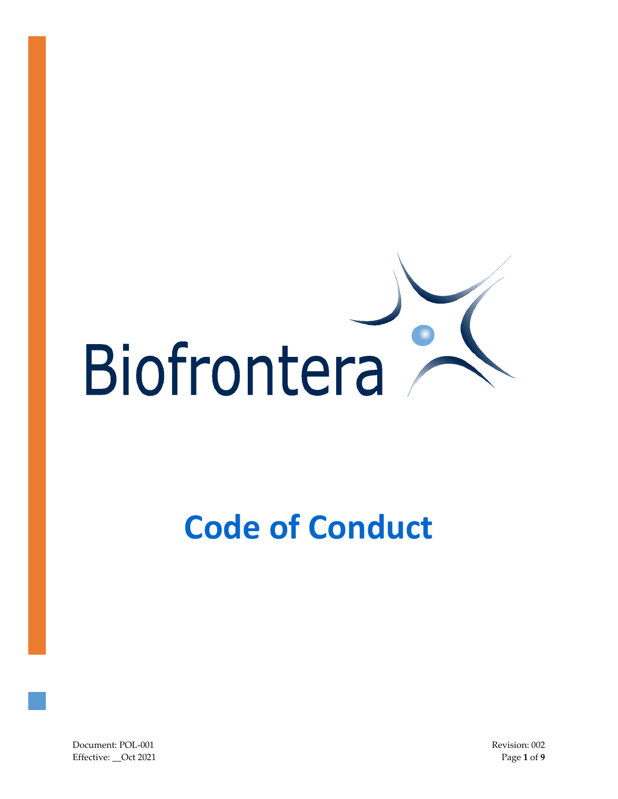

# **Code of Conduct**

Document: POL-001 Revision: 002 Effective: \_\_Oct 2021 Page **1** of **9**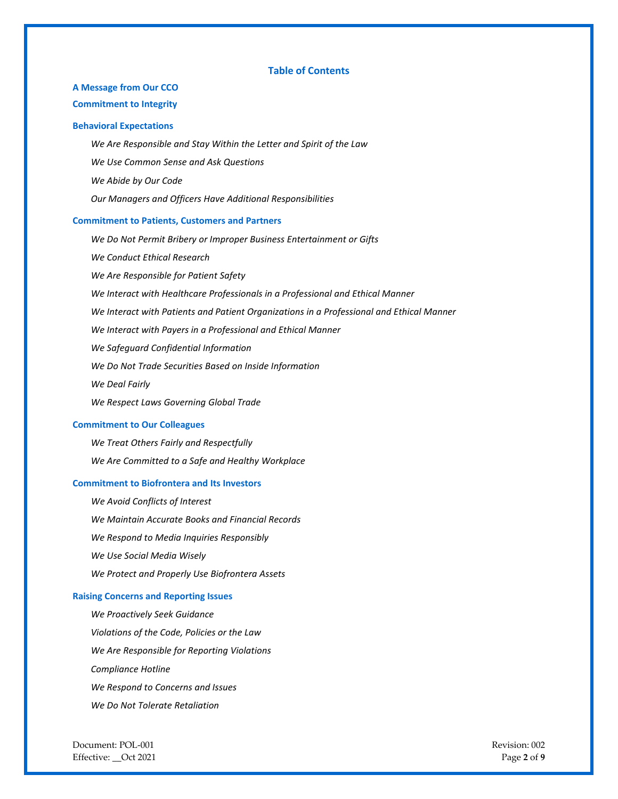## **Table of Contents**

## **A Message from Our CCO**

## **Commitment to Integrity**

### **Behavioral Expectations**

*We Are Responsible and Stay Within the Letter and Spirit of the Law We Use Common Sense and Ask Questions We Abide by Our Code Our Managers and Officers Have Additional Responsibilities*

#### **Commitment to Patients, Customers and Partners**

*We Do Not Permit Bribery or Improper Business Entertainment or Gifts We Conduct Ethical Research We Are Responsible for Patient Safety We Interact with Healthcare Professionals in a Professional and Ethical Manner We Interact with Patients and Patient Organizations in a Professional and Ethical Manner We Interact with Payers in a Professional and Ethical Manner We Safeguard Confidential Information We Do Not Trade Securities Based on Inside Information We Deal Fairly We Respect Laws Governing Global Trade*

### **Commitment to Our Colleagues**

*We Treat Others Fairly and Respectfully We Are Committed to a Safe and Healthy Workplace*

## **Commitment to Biofrontera and Its Investors**

*We Avoid Conflicts of Interest We Maintain Accurate Books and Financial Records We Respond to Media Inquiries Responsibly We Use Social Media Wisely We Protect and Properly Use Biofrontera Assets*

## **Raising Concerns and Reporting Issues**

*We Proactively Seek Guidance Violations of the Code, Policies or the Law We Are Responsible for Reporting Violations Compliance Hotline We Respond to Concerns and Issues We Do Not Tolerate Retaliation*

Document: POL-001 Revision: 002 Effective: \_\_Oct 2021 **Page 2** of **9**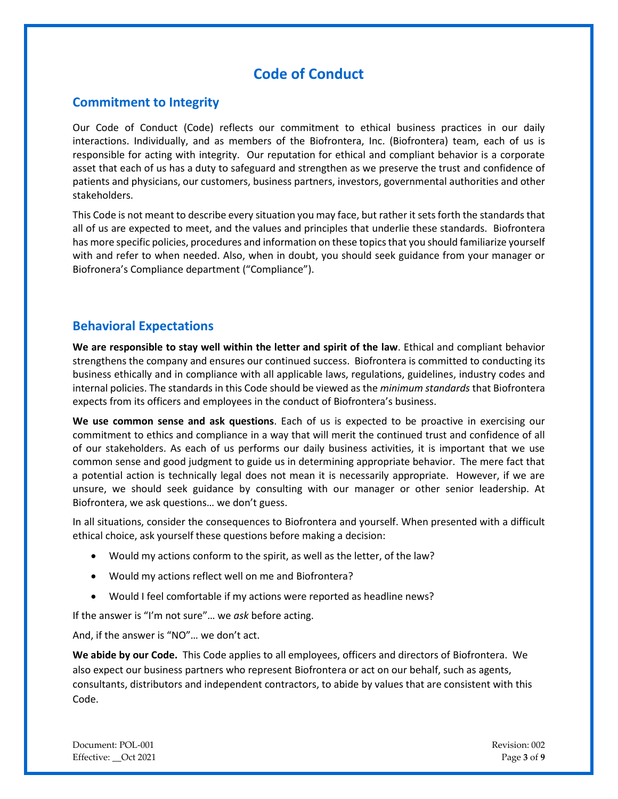# **Code of Conduct**

# **Commitment to Integrity**

Our Code of Conduct (Code) reflects our commitment to ethical business practices in our daily interactions. Individually, and as members of the Biofrontera, Inc. (Biofrontera) team, each of us is responsible for acting with integrity. Our reputation for ethical and compliant behavior is a corporate asset that each of us has a duty to safeguard and strengthen as we preserve the trust and confidence of patients and physicians, our customers, business partners, investors, governmental authorities and other stakeholders.

This Code is not meant to describe every situation you may face, but rather it setsforth the standards that all of us are expected to meet, and the values and principles that underlie these standards. Biofrontera has more specific policies, procedures and information on these topics that you should familiarize yourself with and refer to when needed. Also, when in doubt, you should seek guidance from your manager or Biofronera's Compliance department ("Compliance").

# **Behavioral Expectations**

**We are responsible to stay well within the letter and spirit of the law**. Ethical and compliant behavior strengthens the company and ensures our continued success. Biofrontera is committed to conducting its business ethically and in compliance with all applicable laws, regulations, guidelines, industry codes and internal policies. The standards in this Code should be viewed as the *minimum standards* that Biofrontera expects from its officers and employees in the conduct of Biofrontera's business.

**We use common sense and ask questions**. Each of us is expected to be proactive in exercising our commitment to ethics and compliance in a way that will merit the continued trust and confidence of all of our stakeholders. As each of us performs our daily business activities, it is important that we use common sense and good judgment to guide us in determining appropriate behavior. The mere fact that a potential action is technically legal does not mean it is necessarily appropriate. However, if we are unsure, we should seek guidance by consulting with our manager or other senior leadership. At Biofrontera, we ask questions… we don't guess.

In all situations, consider the consequences to Biofrontera and yourself. When presented with a difficult ethical choice, ask yourself these questions before making a decision:

- Would my actions conform to the spirit, as well as the letter, of the law?
- Would my actions reflect well on me and Biofrontera?
- Would I feel comfortable if my actions were reported as headline news?

If the answer is "I'm not sure"… we *ask* before acting.

And, if the answer is "NO"… we don't act.

**We abide by our Code.** This Code applies to all employees, officers and directors of Biofrontera. We also expect our business partners who represent Biofrontera or act on our behalf, such as agents, consultants, distributors and independent contractors, to abide by values that are consistent with this Code.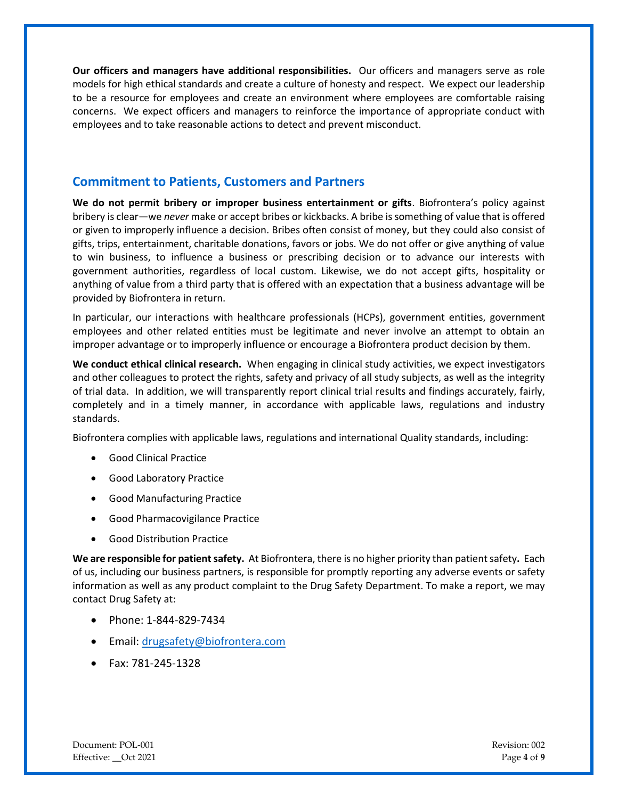**Our officers and managers have additional responsibilities.** Our officers and managers serve as role models for high ethical standards and create a culture of honesty and respect. We expect our leadership to be a resource for employees and create an environment where employees are comfortable raising concerns. We expect officers and managers to reinforce the importance of appropriate conduct with employees and to take reasonable actions to detect and prevent misconduct.

## **Commitment to Patients, Customers and Partners**

**We do not permit bribery or improper business entertainment or gifts**. Biofrontera's policy against bribery is clear—we *never* make or accept bribes or kickbacks. A bribe is something of value that is offered or given to improperly influence a decision. Bribes often consist of money, but they could also consist of gifts, trips, entertainment, charitable donations, favors or jobs. We do not offer or give anything of value to win business, to influence a business or prescribing decision or to advance our interests with government authorities, regardless of local custom. Likewise, we do not accept gifts, hospitality or anything of value from a third party that is offered with an expectation that a business advantage will be provided by Biofrontera in return.

In particular, our interactions with healthcare professionals (HCPs), government entities, government employees and other related entities must be legitimate and never involve an attempt to obtain an improper advantage or to improperly influence or encourage a Biofrontera product decision by them.

**We conduct ethical clinical research.** When engaging in clinical study activities, we expect investigators and other colleagues to protect the rights, safety and privacy of all study subjects, as well as the integrity of trial data. In addition, we will transparently report clinical trial results and findings accurately, fairly, completely and in a timely manner, in accordance with applicable laws, regulations and industry standards.

Biofrontera complies with applicable laws, regulations and international Quality standards, including:

- Good Clinical Practice
- Good Laboratory Practice
- Good Manufacturing Practice
- Good Pharmacovigilance Practice
- Good Distribution Practice

**We are responsible for patient safety.** At Biofrontera, there is no higher priority than patient safety**.** Each of us, including our business partners, is responsible for promptly reporting any adverse events or safety information as well as any product complaint to the Drug Safety Department. To make a report, we may contact Drug Safety at:

- Phone: 1-844-829-7434
- Email: [drugsafety@biofrontera.com](mailto:drugsafety@biofrontera.com)
- Fax: 781-245-1328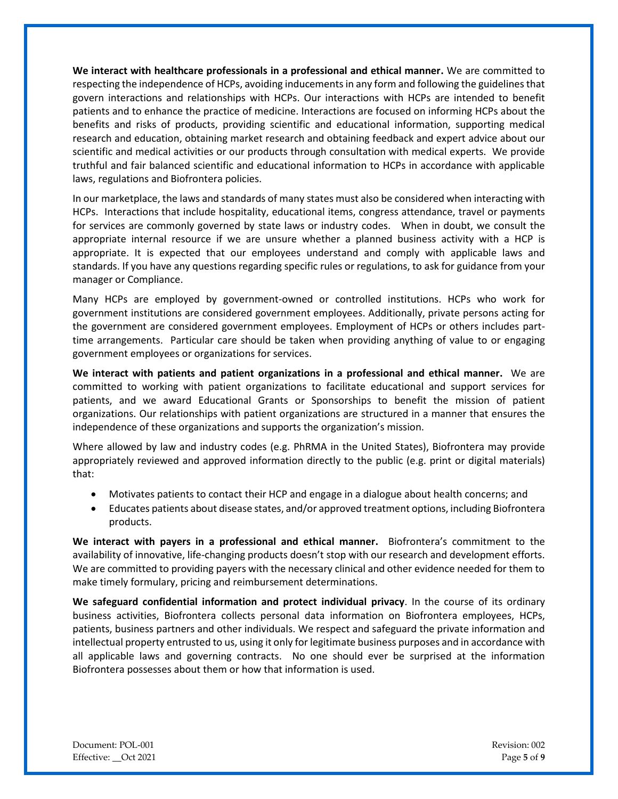**We interact with healthcare professionals in a professional and ethical manner.** We are committed to respecting the independence of HCPs, avoiding inducements in any form and following the guidelines that govern interactions and relationships with HCPs. Our interactions with HCPs are intended to benefit patients and to enhance the practice of medicine. Interactions are focused on informing HCPs about the benefits and risks of products, providing scientific and educational information, supporting medical research and education, obtaining market research and obtaining feedback and expert advice about our scientific and medical activities or our products through consultation with medical experts. We provide truthful and fair balanced scientific and educational information to HCPs in accordance with applicable laws, regulations and Biofrontera policies.

In our marketplace, the laws and standards of many states must also be considered when interacting with HCPs. Interactions that include hospitality, educational items, congress attendance, travel or payments for services are commonly governed by state laws or industry codes. When in doubt, we consult the appropriate internal resource if we are unsure whether a planned business activity with a HCP is appropriate. It is expected that our employees understand and comply with applicable laws and standards. If you have any questions regarding specific rules or regulations, to ask for guidance from your manager or Compliance.

Many HCPs are employed by government-owned or controlled institutions. HCPs who work for government institutions are considered government employees. Additionally, private persons acting for the government are considered government employees. Employment of HCPs or others includes parttime arrangements. Particular care should be taken when providing anything of value to or engaging government employees or organizations for services.

**We interact with patients and patient organizations in a professional and ethical manner.** We are committed to working with patient organizations to facilitate educational and support services for patients, and we award Educational Grants or Sponsorships to benefit the mission of patient organizations. Our relationships with patient organizations are structured in a manner that ensures the independence of these organizations and supports the organization's mission.

Where allowed by law and industry codes (e.g. PhRMA in the United States), Biofrontera may provide appropriately reviewed and approved information directly to the public (e.g. print or digital materials) that:

- Motivates patients to contact their HCP and engage in a dialogue about health concerns; and
- Educates patients about disease states, and/or approved treatment options, including Biofrontera products.

**We interact with payers in a professional and ethical manner.** Biofrontera's commitment to the availability of innovative, life-changing products doesn't stop with our research and development efforts. We are committed to providing payers with the necessary clinical and other evidence needed for them to make timely formulary, pricing and reimbursement determinations.

**We safeguard confidential information and protect individual privacy**. In the course of its ordinary business activities, Biofrontera collects personal data information on Biofrontera employees, HCPs, patients, business partners and other individuals. We respect and safeguard the private information and intellectual property entrusted to us, using it only for legitimate business purposes and in accordance with all applicable laws and governing contracts. No one should ever be surprised at the information Biofrontera possesses about them or how that information is used.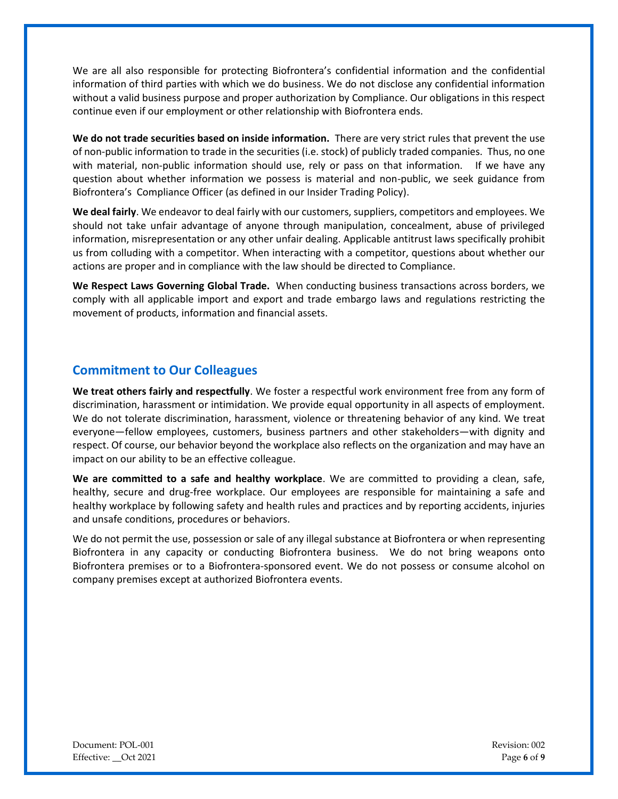We are all also responsible for protecting Biofrontera's confidential information and the confidential information of third parties with which we do business. We do not disclose any confidential information without a valid business purpose and proper authorization by Compliance. Our obligations in this respect continue even if our employment or other relationship with Biofrontera ends.

**We do not trade securities based on inside information.** There are very strict rules that prevent the use of non-public information to trade in the securities (i.e. stock) of publicly traded companies. Thus, no one with material, non-public information should use, rely or pass on that information. If we have any question about whether information we possess is material and non-public, we seek guidance from Biofrontera's Compliance Officer (as defined in our Insider Trading Policy).

**We deal fairly**. We endeavor to deal fairly with our customers, suppliers, competitors and employees. We should not take unfair advantage of anyone through manipulation, concealment, abuse of privileged information, misrepresentation or any other unfair dealing. Applicable antitrust laws specifically prohibit us from colluding with a competitor. When interacting with a competitor, questions about whether our actions are proper and in compliance with the law should be directed to Compliance.

**We Respect Laws Governing Global Trade.** When conducting business transactions across borders, we comply with all applicable import and export and trade embargo laws and regulations restricting the movement of products, information and financial assets.

# **Commitment to Our Colleagues**

**We treat others fairly and respectfully**. We foster a respectful work environment free from any form of discrimination, harassment or intimidation. We provide equal opportunity in all aspects of employment. We do not tolerate discrimination, harassment, violence or threatening behavior of any kind. We treat everyone—fellow employees, customers, business partners and other stakeholders—with dignity and respect. Of course, our behavior beyond the workplace also reflects on the organization and may have an impact on our ability to be an effective colleague.

**We are committed to a safe and healthy workplace**. We are committed to providing a clean, safe, healthy, secure and drug-free workplace. Our employees are responsible for maintaining a safe and healthy workplace by following safety and health rules and practices and by reporting accidents, injuries and unsafe conditions, procedures or behaviors.

We do not permit the use, possession or sale of any illegal substance at Biofrontera or when representing Biofrontera in any capacity or conducting Biofrontera business. We do not bring weapons onto Biofrontera premises or to a Biofrontera-sponsored event. We do not possess or consume alcohol on company premises except at authorized Biofrontera events.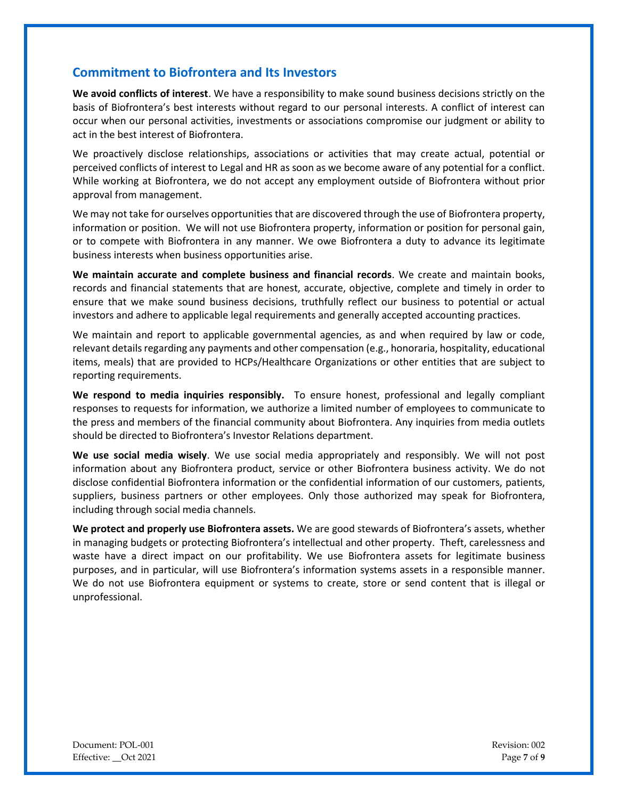## **Commitment to Biofrontera and Its Investors**

**We avoid conflicts of interest**. We have a responsibility to make sound business decisions strictly on the basis of Biofrontera's best interests without regard to our personal interests. A conflict of interest can occur when our personal activities, investments or associations compromise our judgment or ability to act in the best interest of Biofrontera.

We proactively disclose relationships, associations or activities that may create actual, potential or perceived conflicts of interest to Legal and HR as soon as we become aware of any potential for a conflict. While working at Biofrontera, we do not accept any employment outside of Biofrontera without prior approval from management.

We may not take for ourselves opportunities that are discovered through the use of Biofrontera property, information or position. We will not use Biofrontera property, information or position for personal gain, or to compete with Biofrontera in any manner. We owe Biofrontera a duty to advance its legitimate business interests when business opportunities arise.

**We maintain accurate and complete business and financial records**. We create and maintain books, records and financial statements that are honest, accurate, objective, complete and timely in order to ensure that we make sound business decisions, truthfully reflect our business to potential or actual investors and adhere to applicable legal requirements and generally accepted accounting practices.

We maintain and report to applicable governmental agencies, as and when required by law or code, relevant details regarding any payments and other compensation (e.g., honoraria, hospitality, educational items, meals) that are provided to HCPs/Healthcare Organizations or other entities that are subject to reporting requirements.

**We respond to media inquiries responsibly.** To ensure honest, professional and legally compliant responses to requests for information, we authorize a limited number of employees to communicate to the press and members of the financial community about Biofrontera. Any inquiries from media outlets should be directed to Biofrontera's Investor Relations department.

**We use social media wisely**. We use social media appropriately and responsibly. We will not post information about any Biofrontera product, service or other Biofrontera business activity. We do not disclose confidential Biofrontera information or the confidential information of our customers, patients, suppliers, business partners or other employees. Only those authorized may speak for Biofrontera, including through social media channels.

**We protect and properly use Biofrontera assets.** We are good stewards of Biofrontera's assets, whether in managing budgets or protecting Biofrontera's intellectual and other property. Theft, carelessness and waste have a direct impact on our profitability. We use Biofrontera assets for legitimate business purposes, and in particular, will use Biofrontera's information systems assets in a responsible manner. We do not use Biofrontera equipment or systems to create, store or send content that is illegal or unprofessional.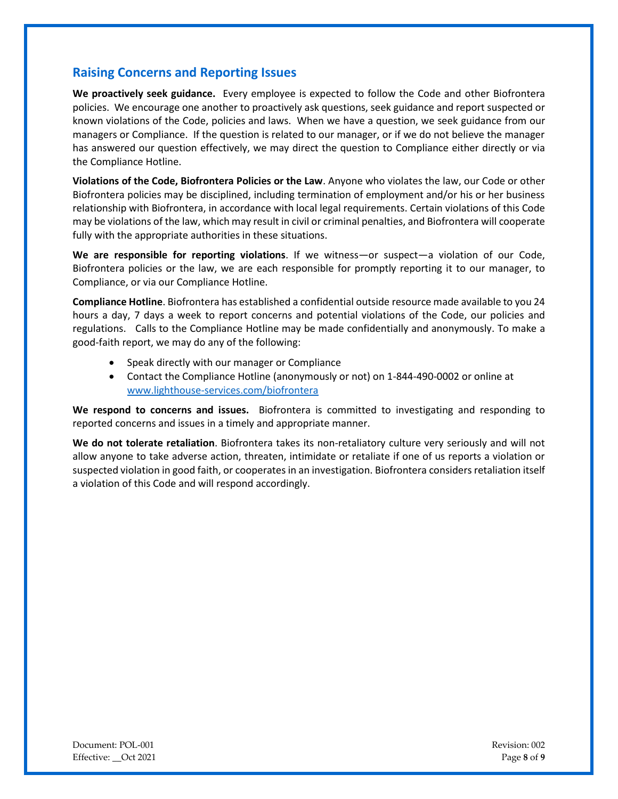# **Raising Concerns and Reporting Issues**

**We proactively seek guidance.** Every employee is expected to follow the Code and other Biofrontera policies. We encourage one another to proactively ask questions, seek guidance and report suspected or known violations of the Code, policies and laws. When we have a question, we seek guidance from our managers or Compliance. If the question is related to our manager, or if we do not believe the manager has answered our question effectively, we may direct the question to Compliance either directly or via the Compliance Hotline.

**Violations of the Code, Biofrontera Policies or the Law**. Anyone who violates the law, our Code or other Biofrontera policies may be disciplined, including termination of employment and/or his or her business relationship with Biofrontera, in accordance with local legal requirements. Certain violations of this Code may be violations of the law, which may result in civil or criminal penalties, and Biofrontera will cooperate fully with the appropriate authorities in these situations.

**We are responsible for reporting violations**. If we witness—or suspect—a violation of our Code, Biofrontera policies or the law, we are each responsible for promptly reporting it to our manager, to Compliance, or via our Compliance Hotline.

**Compliance Hotline**. Biofrontera has established a confidential outside resource made available to you 24 hours a day, 7 days a week to report concerns and potential violations of the Code, our policies and regulations. Calls to the Compliance Hotline may be made confidentially and anonymously. To make a good-faith report, we may do any of the following:

- Speak directly with our manager or Compliance
- Contact the Compliance Hotline (anonymously or not) on 1-844-490-0002 or online at [www.lighthouse-services.com/biofrontera](http://www.lighthouse-services.com/biofrontera)

**We respond to concerns and issues.** Biofrontera is committed to investigating and responding to reported concerns and issues in a timely and appropriate manner.

**We do not tolerate retaliation**. Biofrontera takes its non-retaliatory culture very seriously and will not allow anyone to take adverse action, threaten, intimidate or retaliate if one of us reports a violation or suspected violation in good faith, or cooperates in an investigation. Biofrontera considers retaliation itself a violation of this Code and will respond accordingly.